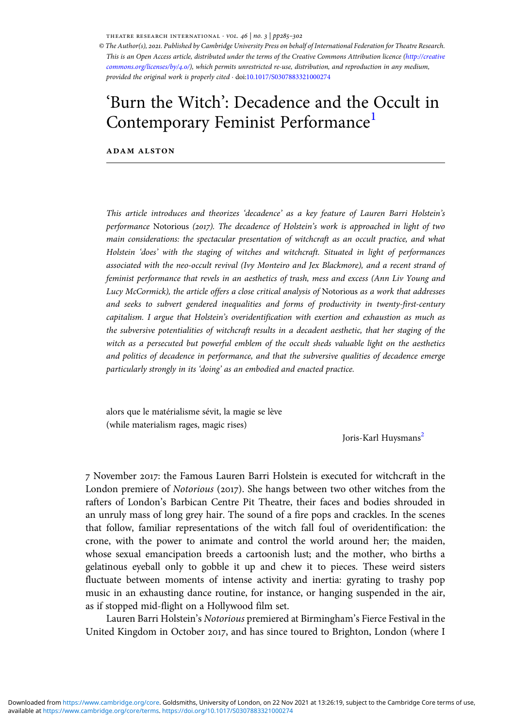THEATRE RESEARCH INTERNATIONAL  $\cdot$  vol. 46 | no. 3 | pp285-302

© The Author(s), 2021. Published by Cambridge University Press on behalf of International Federation for Theatre Research. This is an Open Access article, distributed under the terms of the Creative Commons Attribution licence [\(http://creative](http://creativecommons.org/licenses/by/4.0/) [commons.org/licenses/by/](http://creativecommons.org/licenses/by/4.0/)4.0/), which permits unrestricted re-use, distribution, and reproduction in any medium, provided the original work is properly cited · doi:[10.1017/S0307883321000274](https://doi.org/10.1017/S0307883321000274)

# 'Burn the Witch': Decadence and the Occult in Contemporary Feminist Performance<sup>[1](#page-15-0)</sup>

**ADAM ALSTON** 

This article introduces and theorizes 'decadence' as a key feature of Lauren Barri Holstein's performance Notorious (2017). The decadence of Holstein's work is approached in light of two main considerations: the spectacular presentation of witchcraft as an occult practice, and what Holstein 'does' with the staging of witches and witchcraft. Situated in light of performances associated with the neo-occult revival (Ivy Monteiro and Jex Blackmore), and a recent strand of feminist performance that revels in an aesthetics of trash, mess and excess (Ann Liv Young and Lucy McCormick), the article offers a close critical analysis of Notorious as a work that addresses and seeks to subvert gendered inequalities and forms of productivity in twenty-first-century capitalism. I argue that Holstein's overidentification with exertion and exhaustion as much as the subversive potentialities of witchcraft results in a decadent aesthetic, that her staging of the witch as a persecuted but powerful emblem of the occult sheds valuable light on the aesthetics and politics of decadence in performance, and that the subversive qualities of decadence emerge particularly strongly in its 'doing' as an embodied and enacted practice.

alors que le matérialisme sévit, la magie se lève (while materialism rages, magic rises)

Joris-Karl Huysmans<sup>[2](#page-15-0)</sup>

 November : the Famous Lauren Barri Holstein is executed for witchcraft in the London premiere of *Notorious* (2017). She hangs between two other witches from the rafters of London's Barbican Centre Pit Theatre, their faces and bodies shrouded in an unruly mass of long grey hair. The sound of a fire pops and crackles. In the scenes that follow, familiar representations of the witch fall foul of overidentification: the crone, with the power to animate and control the world around her; the maiden, whose sexual emancipation breeds a cartoonish lust; and the mother, who births a gelatinous eyeball only to gobble it up and chew it to pieces. These weird sisters fluctuate between moments of intense activity and inertia: gyrating to trashy pop music in an exhausting dance routine, for instance, or hanging suspended in the air, as if stopped mid-flight on a Hollywood film set.

Lauren Barri Holstein's Notorious premiered at Birmingham's Fierce Festival in the United Kingdom in October 2017, and has since toured to Brighton, London (where I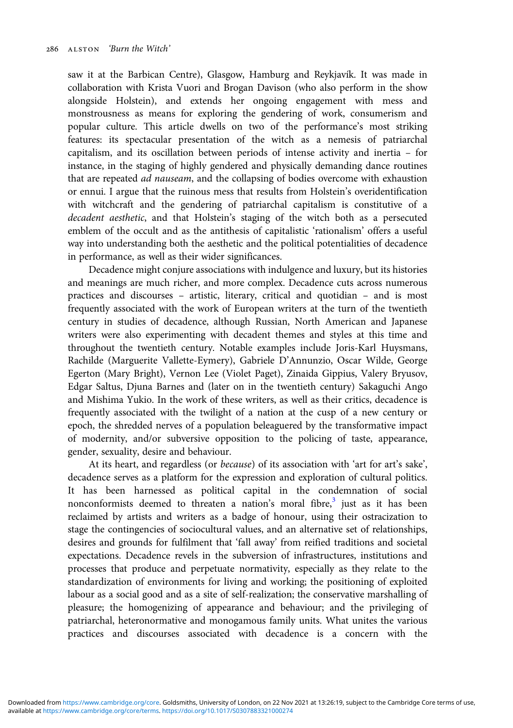saw it at the Barbican Centre), Glasgow, Hamburg and Reykjavík. It was made in collaboration with Krista Vuori and Brogan Davison (who also perform in the show alongside Holstein), and extends her ongoing engagement with mess and monstrousness as means for exploring the gendering of work, consumerism and popular culture. This article dwells on two of the performance's most striking features: its spectacular presentation of the witch as a nemesis of patriarchal capitalism, and its oscillation between periods of intense activity and inertia – for instance, in the staging of highly gendered and physically demanding dance routines that are repeated ad nauseam, and the collapsing of bodies overcome with exhaustion or ennui. I argue that the ruinous mess that results from Holstein's overidentification with witchcraft and the gendering of patriarchal capitalism is constitutive of a decadent aesthetic, and that Holstein's staging of the witch both as a persecuted emblem of the occult and as the antithesis of capitalistic 'rationalism' offers a useful way into understanding both the aesthetic and the political potentialities of decadence in performance, as well as their wider significances.

Decadence might conjure associations with indulgence and luxury, but its histories and meanings are much richer, and more complex. Decadence cuts across numerous practices and discourses – artistic, literary, critical and quotidian – and is most frequently associated with the work of European writers at the turn of the twentieth century in studies of decadence, although Russian, North American and Japanese writers were also experimenting with decadent themes and styles at this time and throughout the twentieth century. Notable examples include Joris-Karl Huysmans, Rachilde (Marguerite Vallette-Eymery), Gabriele D'Annunzio, Oscar Wilde, George Egerton (Mary Bright), Vernon Lee (Violet Paget), Zinaida Gippius, Valery Bryusov, Edgar Saltus, Djuna Barnes and (later on in the twentieth century) Sakaguchi Ango and Mishima Yukio. In the work of these writers, as well as their critics, decadence is frequently associated with the twilight of a nation at the cusp of a new century or epoch, the shredded nerves of a population beleaguered by the transformative impact of modernity, and/or subversive opposition to the policing of taste, appearance, gender, sexuality, desire and behaviour.

At its heart, and regardless (or because) of its association with 'art for art's sake', decadence serves as a platform for the expression and exploration of cultural politics. It has been harnessed as political capital in the condemnation of social nonconformists deemed to threaten a nation's moral fibre, $3$  just as it has been reclaimed by artists and writers as a badge of honour, using their ostracization to stage the contingencies of sociocultural values, and an alternative set of relationships, desires and grounds for fulfilment that 'fall away' from reified traditions and societal expectations. Decadence revels in the subversion of infrastructures, institutions and processes that produce and perpetuate normativity, especially as they relate to the standardization of environments for living and working; the positioning of exploited labour as a social good and as a site of self-realization; the conservative marshalling of pleasure; the homogenizing of appearance and behaviour; and the privileging of patriarchal, heteronormative and monogamous family units. What unites the various practices and discourses associated with decadence is a concern with the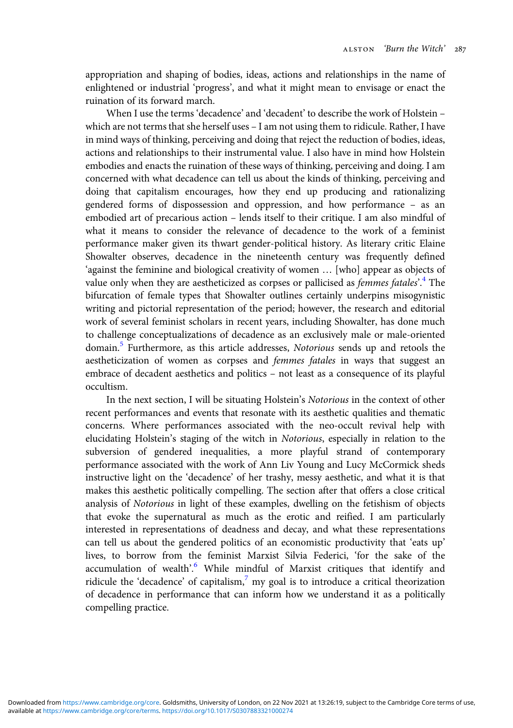appropriation and shaping of bodies, ideas, actions and relationships in the name of enlightened or industrial 'progress', and what it might mean to envisage or enact the ruination of its forward march.

When I use the terms 'decadence' and 'decadent' to describe the work of Holstein – which are not terms that she herself uses – I am not using them to ridicule. Rather, I have in mind ways of thinking, perceiving and doing that reject the reduction of bodies, ideas, actions and relationships to their instrumental value. I also have in mind how Holstein embodies and enacts the ruination of these ways of thinking, perceiving and doing. I am concerned with what decadence can tell us about the kinds of thinking, perceiving and doing that capitalism encourages, how they end up producing and rationalizing gendered forms of dispossession and oppression, and how performance – as an embodied art of precarious action – lends itself to their critique. I am also mindful of what it means to consider the relevance of decadence to the work of a feminist performance maker given its thwart gender-political history. As literary critic Elaine Showalter observes, decadence in the nineteenth century was frequently defined 'against the feminine and biological creativity of women … [who] appear as objects of value only when they are aestheticized as corpses or pallicised as *femmes fatales*'.<sup>[4](#page-16-0)</sup> The bifurcation of female types that Showalter outlines certainly underpins misogynistic writing and pictorial representation of the period; however, the research and editorial work of several feminist scholars in recent years, including Showalter, has done much to challenge conceptualizations of decadence as an exclusively male or male-oriented domain.<sup>[5](#page-16-0)</sup> Furthermore, as this article addresses, Notorious sends up and retools the aestheticization of women as corpses and femmes fatales in ways that suggest an embrace of decadent aesthetics and politics – not least as a consequence of its playful occultism.

In the next section, I will be situating Holstein's Notorious in the context of other recent performances and events that resonate with its aesthetic qualities and thematic concerns. Where performances associated with the neo-occult revival help with elucidating Holstein's staging of the witch in Notorious, especially in relation to the subversion of gendered inequalities, a more playful strand of contemporary performance associated with the work of Ann Liv Young and Lucy McCormick sheds instructive light on the 'decadence' of her trashy, messy aesthetic, and what it is that makes this aesthetic politically compelling. The section after that offers a close critical analysis of Notorious in light of these examples, dwelling on the fetishism of objects that evoke the supernatural as much as the erotic and reified. I am particularly interested in representations of deadness and decay, and what these representations can tell us about the gendered politics of an economistic productivity that 'eats up' lives, to borrow from the feminist Marxist Silvia Federici, 'for the sake of the accumulation of wealth'.<sup>[6](#page-16-0)</sup> While mindful of Marxist critiques that identify and ridicule the 'decadence' of capitalism, $\frac{7}{1}$  $\frac{7}{1}$  $\frac{7}{1}$  my goal is to introduce a critical theorization of decadence in performance that can inform how we understand it as a politically compelling practice.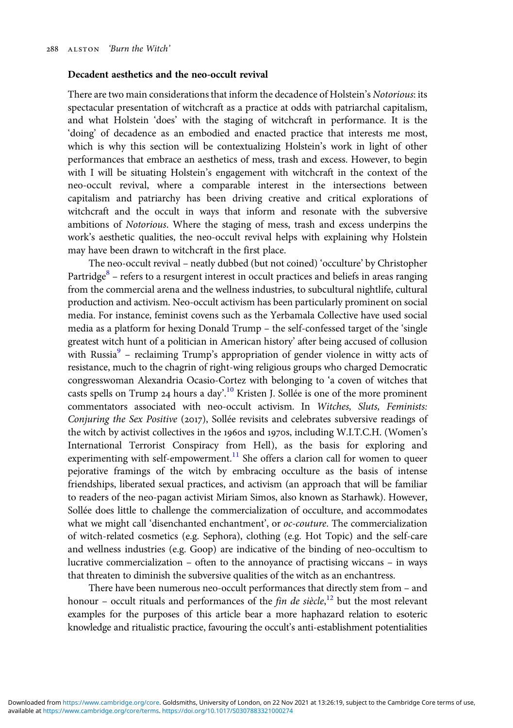### Decadent aesthetics and the neo-occult revival

There are two main considerations that inform the decadence of Holstein's Notorious: its spectacular presentation of witchcraft as a practice at odds with patriarchal capitalism, and what Holstein 'does' with the staging of witchcraft in performance. It is the 'doing' of decadence as an embodied and enacted practice that interests me most, which is why this section will be contextualizing Holstein's work in light of other performances that embrace an aesthetics of mess, trash and excess. However, to begin with I will be situating Holstein's engagement with witchcraft in the context of the neo-occult revival, where a comparable interest in the intersections between capitalism and patriarchy has been driving creative and critical explorations of witchcraft and the occult in ways that inform and resonate with the subversive ambitions of Notorious. Where the staging of mess, trash and excess underpins the work's aesthetic qualities, the neo-occult revival helps with explaining why Holstein may have been drawn to witchcraft in the first place.

The neo-occult revival – neatly dubbed (but not coined) 'occulture' by Christopher Partridge $8$  – refers to a resurgent interest in occult practices and beliefs in areas ranging from the commercial arena and the wellness industries, to subcultural nightlife, cultural production and activism. Neo-occult activism has been particularly prominent on social media. For instance, feminist covens such as the Yerbamala Collective have used social media as a platform for hexing Donald Trump – the self-confessed target of the 'single greatest witch hunt of a politician in American history' after being accused of collusion with Russia $9$  – reclaiming Trump's appropriation of gender violence in witty acts of resistance, much to the chagrin of right-wing religious groups who charged Democratic congresswoman Alexandria Ocasio-Cortez with belonging to 'a coven of witches that casts spells on Trump 24 hours a day'.<sup>[10](#page-16-0)</sup> Kristen J. Sollée is one of the more prominent commentators associated with neo-occult activism. In Witches, Sluts, Feminists: Conjuring the Sex Positive (2017), Sollée revisits and celebrates subversive readings of the witch by activist collectives in the 1960s and 1970s, including W.I.T.C.H. (Women's International Terrorist Conspiracy from Hell), as the basis for exploring and experimenting with self-empowerment.<sup>[11](#page-16-0)</sup> She offers a clarion call for women to queer pejorative framings of the witch by embracing occulture as the basis of intense friendships, liberated sexual practices, and activism (an approach that will be familiar to readers of the neo-pagan activist Miriam Simos, also known as Starhawk). However, Sollée does little to challenge the commercialization of occulture, and accommodates what we might call 'disenchanted enchantment', or  $oc\text{-}counter$ . The commercialization of witch-related cosmetics (e.g. Sephora), clothing (e.g. Hot Topic) and the self-care and wellness industries (e.g. Goop) are indicative of the binding of neo-occultism to lucrative commercialization – often to the annoyance of practising wiccans – in ways that threaten to diminish the subversive qualities of the witch as an enchantress.

There have been numerous neo-occult performances that directly stem from – and honour – occult rituals and performances of the *fin de siècle*,<sup>[12](#page-16-0)</sup> but the most relevant examples for the purposes of this article bear a more haphazard relation to esoteric knowledge and ritualistic practice, favouring the occult's anti-establishment potentialities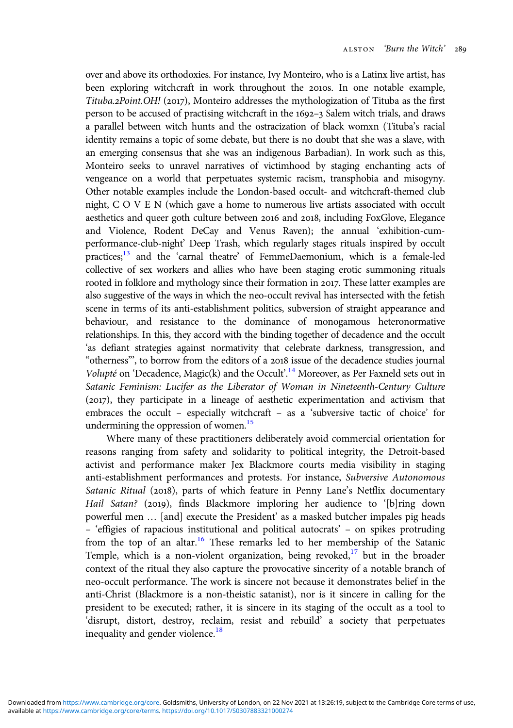over and above its orthodoxies. For instance, Ivy Monteiro, who is a Latinx live artist, has been exploring witchcraft in work throughout the 2010s. In one notable example, Tituba.2Point.OH! (2017), Monteiro addresses the mythologization of Tituba as the first person to be accused of practising witchcraft in the  $1692-3$  Salem witch trials, and draws a parallel between witch hunts and the ostracization of black womxn (Tituba's racial identity remains a topic of some debate, but there is no doubt that she was a slave, with an emerging consensus that she was an indigenous Barbadian). In work such as this, Monteiro seeks to unravel narratives of victimhood by staging enchanting acts of vengeance on a world that perpetuates systemic racism, transphobia and misogyny. Other notable examples include the London-based occult- and witchcraft-themed club night, C O V E N (which gave a home to numerous live artists associated with occult aesthetics and queer goth culture between 2016 and 2018, including FoxGlove, Elegance and Violence, Rodent DeCay and Venus Raven); the annual 'exhibition-cumperformance-club-night' Deep Trash, which regularly stages rituals inspired by occult practices;<sup>13</sup> and the 'carnal theatre' of FemmeDaemonium, which is a female-led collective of sex workers and allies who have been staging erotic summoning rituals rooted in folklore and mythology since their formation in 2017. These latter examples are also suggestive of the ways in which the neo-occult revival has intersected with the fetish scene in terms of its anti-establishment politics, subversion of straight appearance and behaviour, and resistance to the dominance of monogamous heteronormative relationships. In this, they accord with the binding together of decadence and the occult 'as defiant strategies against normativity that celebrate darkness, transgression, and "otherness", to borrow from the editors of a 2018 issue of the decadence studies journal Volupté on 'Decadence, Magic(k) and the Occult'.<sup>[14](#page-16-0)</sup> Moreover, as Per Faxneld sets out in Satanic Feminism: Lucifer as the Liberator of Woman in Nineteenth-Century Culture (2017), they participate in a lineage of aesthetic experimentation and activism that embraces the occult – especially witchcraft – as a 'subversive tactic of choice' for undermining the oppression of women.<sup>15</sup>

Where many of these practitioners deliberately avoid commercial orientation for reasons ranging from safety and solidarity to political integrity, the Detroit-based activist and performance maker Jex Blackmore courts media visibility in staging anti-establishment performances and protests. For instance, Subversive Autonomous Satanic Ritual (2018), parts of which feature in Penny Lane's Netflix documentary Hail Satan? (2019), finds Blackmore imploring her audience to '[b]ring down powerful men … [and] execute the President' as a masked butcher impales pig heads – 'effigies of rapacious institutional and political autocrats' – on spikes protruding from the top of an altar.<sup>[16](#page-16-0)</sup> These remarks led to her membership of the Satanic Temple, which is a non-violent organization, being revoked, $17$  but in the broader context of the ritual they also capture the provocative sincerity of a notable branch of neo-occult performance. The work is sincere not because it demonstrates belief in the anti-Christ (Blackmore is a non-theistic satanist), nor is it sincere in calling for the president to be executed; rather, it is sincere in its staging of the occult as a tool to 'disrupt, distort, destroy, reclaim, resist and rebuild' a society that perpetuates inequality and gender violence.<sup>[18](#page-16-0)</sup>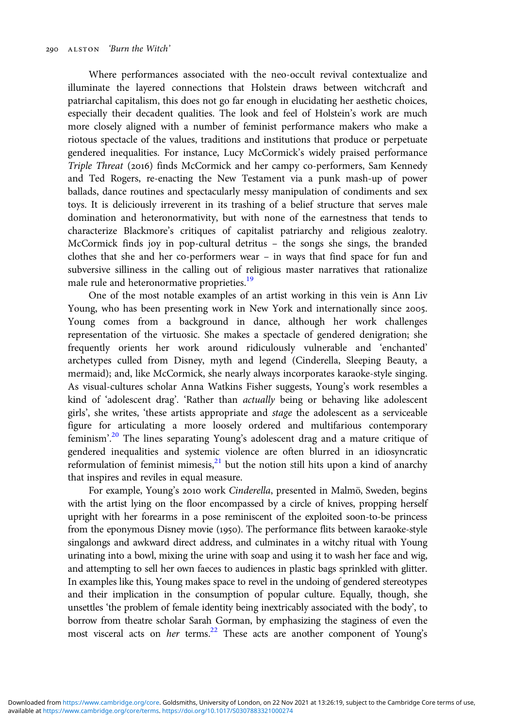Where performances associated with the neo-occult revival contextualize and illuminate the layered connections that Holstein draws between witchcraft and patriarchal capitalism, this does not go far enough in elucidating her aesthetic choices, especially their decadent qualities. The look and feel of Holstein's work are much more closely aligned with a number of feminist performance makers who make a riotous spectacle of the values, traditions and institutions that produce or perpetuate gendered inequalities. For instance, Lucy McCormick's widely praised performance Triple Threat (2016) finds McCormick and her campy co-performers, Sam Kennedy and Ted Rogers, re-enacting the New Testament via a punk mash-up of power ballads, dance routines and spectacularly messy manipulation of condiments and sex toys. It is deliciously irreverent in its trashing of a belief structure that serves male domination and heteronormativity, but with none of the earnestness that tends to characterize Blackmore's critiques of capitalist patriarchy and religious zealotry. McCormick finds joy in pop-cultural detritus – the songs she sings, the branded clothes that she and her co-performers wear – in ways that find space for fun and subversive silliness in the calling out of religious master narratives that rationalize male rule and heteronormative proprieties.<sup>[19](#page-16-0)</sup>

One of the most notable examples of an artist working in this vein is Ann Liv Young, who has been presenting work in New York and internationally since 2005. Young comes from a background in dance, although her work challenges representation of the virtuosic. She makes a spectacle of gendered denigration; she frequently orients her work around ridiculously vulnerable and 'enchanted' archetypes culled from Disney, myth and legend (Cinderella, Sleeping Beauty, a mermaid); and, like McCormick, she nearly always incorporates karaoke-style singing. As visual-cultures scholar Anna Watkins Fisher suggests, Young's work resembles a kind of 'adolescent drag'. 'Rather than actually being or behaving like adolescent girls', she writes, 'these artists appropriate and stage the adolescent as a serviceable figure for articulating a more loosely ordered and multifarious contemporary feminism'.<sup>[20](#page-16-0)</sup> The lines separating Young's adolescent drag and a mature critique of gendered inequalities and systemic violence are often blurred in an idiosyncratic reformulation of feminist mimesis, $21$  but the notion still hits upon a kind of anarchy that inspires and reviles in equal measure.

For example, Young's 2010 work Cinderella, presented in Malmö, Sweden, begins with the artist lying on the floor encompassed by a circle of knives, propping herself upright with her forearms in a pose reminiscent of the exploited soon-to-be princess from the eponymous Disney movie (1950). The performance flits between karaoke-style singalongs and awkward direct address, and culminates in a witchy ritual with Young urinating into a bowl, mixing the urine with soap and using it to wash her face and wig, and attempting to sell her own faeces to audiences in plastic bags sprinkled with glitter. In examples like this, Young makes space to revel in the undoing of gendered stereotypes and their implication in the consumption of popular culture. Equally, though, she unsettles 'the problem of female identity being inextricably associated with the body', to borrow from theatre scholar Sarah Gorman, by emphasizing the staginess of even the most visceral acts on her terms.<sup>22</sup> These acts are another component of Young's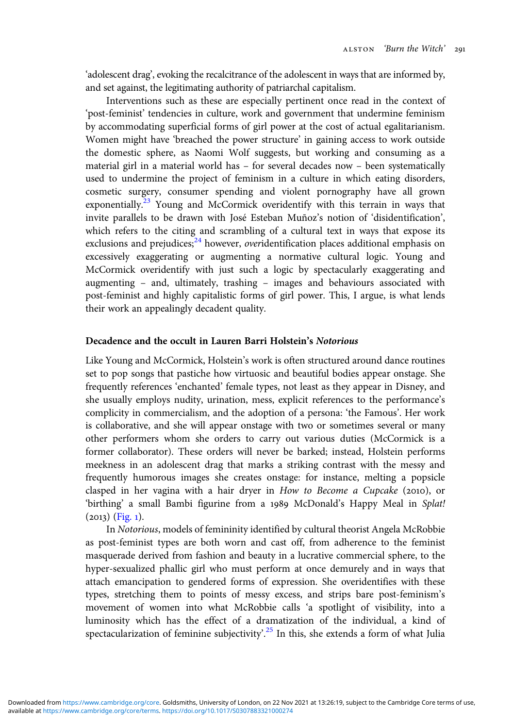'adolescent drag', evoking the recalcitrance of the adolescent in ways that are informed by, and set against, the legitimating authority of patriarchal capitalism.

Interventions such as these are especially pertinent once read in the context of 'post-feminist' tendencies in culture, work and government that undermine feminism by accommodating superficial forms of girl power at the cost of actual egalitarianism. Women might have 'breached the power structure' in gaining access to work outside the domestic sphere, as Naomi Wolf suggests, but working and consuming as a material girl in a material world has – for several decades now – been systematically used to undermine the project of feminism in a culture in which eating disorders, cosmetic surgery, consumer spending and violent pornography have all grown exponentially.<sup>[23](#page-17-0)</sup> Young and McCormick overidentify with this terrain in ways that invite parallels to be drawn with José Esteban Muñoz's notion of 'disidentification', which refers to the citing and scrambling of a cultural text in ways that expose its exclusions and prejudices; $^{24}$  $^{24}$  $^{24}$  however, *overidentification* places additional emphasis on excessively exaggerating or augmenting a normative cultural logic. Young and McCormick overidentify with just such a logic by spectacularly exaggerating and augmenting – and, ultimately, trashing – images and behaviours associated with post-feminist and highly capitalistic forms of girl power. This, I argue, is what lends their work an appealingly decadent quality.

# Decadence and the occult in Lauren Barri Holstein's Notorious

Like Young and McCormick, Holstein's work is often structured around dance routines set to pop songs that pastiche how virtuosic and beautiful bodies appear onstage. She frequently references 'enchanted' female types, not least as they appear in Disney, and she usually employs nudity, urination, mess, explicit references to the performance's complicity in commercialism, and the adoption of a persona: 'the Famous'. Her work is collaborative, and she will appear onstage with two or sometimes several or many other performers whom she orders to carry out various duties (McCormick is a former collaborator). These orders will never be barked; instead, Holstein performs meekness in an adolescent drag that marks a striking contrast with the messy and frequently humorous images she creates onstage: for instance, melting a popsicle clasped in her vagina with a hair dryer in How to Become a Cupcake (2010), or 'birthing' a small Bambi figurine from a 1989 McDonald's Happy Meal in Splat!  $(2013)$  [\(Fig.](#page-7-0) 1).

In Notorious, models of femininity identified by cultural theorist Angela McRobbie as post-feminist types are both worn and cast off, from adherence to the feminist masquerade derived from fashion and beauty in a lucrative commercial sphere, to the hyper-sexualized phallic girl who must perform at once demurely and in ways that attach emancipation to gendered forms of expression. She overidentifies with these types, stretching them to points of messy excess, and strips bare post-feminism's movement of women into what McRobbie calls 'a spotlight of visibility, into a luminosity which has the effect of a dramatization of the individual, a kind of spectacularization of feminine subjectivity'.<sup>[25](#page-17-0)</sup> In this, she extends a form of what Julia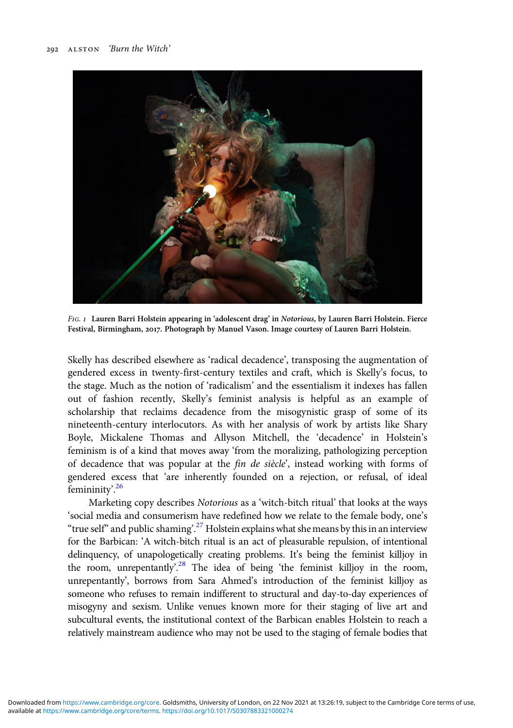<span id="page-7-0"></span>

FIG. 1 Lauren Barri Holstein appearing in 'adolescent drag' in Notorious, by Lauren Barri Holstein. Fierce Festival, Birmingham, 2017. Photograph by Manuel Vason. Image courtesy of Lauren Barri Holstein.

Skelly has described elsewhere as 'radical decadence', transposing the augmentation of gendered excess in twenty-first-century textiles and craft, which is Skelly's focus, to the stage. Much as the notion of 'radicalism' and the essentialism it indexes has fallen out of fashion recently, Skelly's feminist analysis is helpful as an example of scholarship that reclaims decadence from the misogynistic grasp of some of its nineteenth-century interlocutors. As with her analysis of work by artists like Shary Boyle, Mickalene Thomas and Allyson Mitchell, the 'decadence' in Holstein's feminism is of a kind that moves away 'from the moralizing, pathologizing perception of decadence that was popular at the fin de siècle', instead working with forms of gendered excess that 'are inherently founded on a rejection, or refusal, of ideal femininity'.<sup>[26](#page-17-0)</sup>

Marketing copy describes Notorious as a 'witch-bitch ritual' that looks at the ways 'social media and consumerism have redefined how we relate to the female body, one's "true self" and public shaming'.<sup>[27](#page-17-0)</sup> Holstein explains what she means by this in an interview for the Barbican: 'A witch-bitch ritual is an act of pleasurable repulsion, of intentional delinquency, of unapologetically creating problems. It's being the feminist killjoy in the room, unrepentantly'.<sup>[28](#page-17-0)</sup> The idea of being 'the feminist killjoy in the room, unrepentantly', borrows from Sara Ahmed's introduction of the feminist killjoy as someone who refuses to remain indifferent to structural and day-to-day experiences of misogyny and sexism. Unlike venues known more for their staging of live art and subcultural events, the institutional context of the Barbican enables Holstein to reach a relatively mainstream audience who may not be used to the staging of female bodies that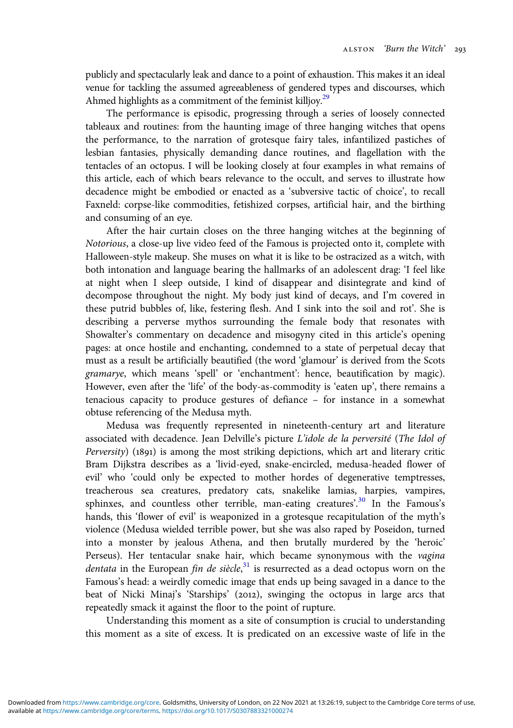publicly and spectacularly leak and dance to a point of exhaustion. This makes it an ideal venue for tackling the assumed agreeableness of gendered types and discourses, which Ahmed highlights as a commitment of the feminist killjoy.<sup>29</sup>

The performance is episodic, progressing through a series of loosely connected tableaux and routines: from the haunting image of three hanging witches that opens the performance, to the narration of grotesque fairy tales, infantilized pastiches of lesbian fantasies, physically demanding dance routines, and flagellation with the tentacles of an octopus. I will be looking closely at four examples in what remains of this article, each of which bears relevance to the occult, and serves to illustrate how decadence might be embodied or enacted as a 'subversive tactic of choice', to recall Faxneld: corpse-like commodities, fetishized corpses, artificial hair, and the birthing and consuming of an eye.

After the hair curtain closes on the three hanging witches at the beginning of Notorious, a close-up live video feed of the Famous is projected onto it, complete with Halloween-style makeup. She muses on what it is like to be ostracized as a witch, with both intonation and language bearing the hallmarks of an adolescent drag: 'I feel like at night when I sleep outside, I kind of disappear and disintegrate and kind of decompose throughout the night. My body just kind of decays, and I'm covered in these putrid bubbles of, like, festering flesh. And I sink into the soil and rot'. She is describing a perverse mythos surrounding the female body that resonates with Showalter's commentary on decadence and misogyny cited in this article's opening pages: at once hostile and enchanting, condemned to a state of perpetual decay that must as a result be artificially beautified (the word 'glamour' is derived from the Scots gramarye, which means 'spell' or 'enchantment': hence, beautification by magic). However, even after the 'life' of the body-as-commodity is 'eaten up', there remains a tenacious capacity to produce gestures of defiance – for instance in a somewhat obtuse referencing of the Medusa myth.

Medusa was frequently represented in nineteenth-century art and literature associated with decadence. Jean Delville's picture L'idole de la perversité (The Idol of Perversity) (1891) is among the most striking depictions, which art and literary critic Bram Dijkstra describes as a 'livid-eyed, snake-encircled, medusa-headed flower of evil' who 'could only be expected to mother hordes of degenerative temptresses, treacherous sea creatures, predatory cats, snakelike lamias, harpies, vampires, sphinxes, and countless other terrible, man-eating creatures'.<sup>[30](#page-17-0)</sup> In the Famous's hands, this 'flower of evil' is weaponized in a grotesque recapitulation of the myth's violence (Medusa wielded terrible power, but she was also raped by Poseidon, turned into a monster by jealous Athena, and then brutally murdered by the 'heroic' Perseus). Her tentacular snake hair, which became synonymous with the vagina dentata in the European fin de siècle,<sup>[31](#page-17-0)</sup> is resurrected as a dead octopus worn on the Famous's head: a weirdly comedic image that ends up being savaged in a dance to the beat of Nicki Minaj's 'Starships' (2012), swinging the octopus in large arcs that repeatedly smack it against the floor to the point of rupture.

Understanding this moment as a site of consumption is crucial to understanding this moment as a site of excess. It is predicated on an excessive waste of life in the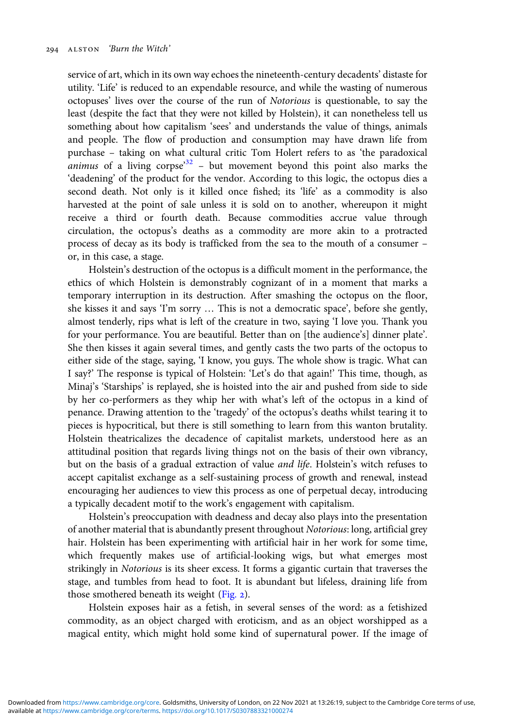service of art, which in its own way echoes the nineteenth-century decadents' distaste for utility. 'Life' is reduced to an expendable resource, and while the wasting of numerous octopuses' lives over the course of the run of Notorious is questionable, to say the least (despite the fact that they were not killed by Holstein), it can nonetheless tell us something about how capitalism 'sees' and understands the value of things, animals and people. The flow of production and consumption may have drawn life from purchase – taking on what cultural critic Tom Holert refers to as 'the paradoxical *animus* of a living corpse<sup>3[32](#page-17-0)</sup> - but movement beyond this point also marks the 'deadening' of the product for the vendor. According to this logic, the octopus dies a second death. Not only is it killed once fished; its 'life' as a commodity is also harvested at the point of sale unless it is sold on to another, whereupon it might receive a third or fourth death. Because commodities accrue value through circulation, the octopus's deaths as a commodity are more akin to a protracted process of decay as its body is trafficked from the sea to the mouth of a consumer – or, in this case, a stage.

Holstein's destruction of the octopus is a difficult moment in the performance, the ethics of which Holstein is demonstrably cognizant of in a moment that marks a temporary interruption in its destruction. After smashing the octopus on the floor, she kisses it and says 'I'm sorry … This is not a democratic space', before she gently, almost tenderly, rips what is left of the creature in two, saying 'I love you. Thank you for your performance. You are beautiful. Better than on [the audience's] dinner plate'. She then kisses it again several times, and gently casts the two parts of the octopus to either side of the stage, saying, 'I know, you guys. The whole show is tragic. What can I say?' The response is typical of Holstein: 'Let's do that again!' This time, though, as Minaj's 'Starships' is replayed, she is hoisted into the air and pushed from side to side by her co-performers as they whip her with what's left of the octopus in a kind of penance. Drawing attention to the 'tragedy' of the octopus's deaths whilst tearing it to pieces is hypocritical, but there is still something to learn from this wanton brutality. Holstein theatricalizes the decadence of capitalist markets, understood here as an attitudinal position that regards living things not on the basis of their own vibrancy, but on the basis of a gradual extraction of value and life. Holstein's witch refuses to accept capitalist exchange as a self-sustaining process of growth and renewal, instead encouraging her audiences to view this process as one of perpetual decay, introducing a typically decadent motif to the work's engagement with capitalism.

Holstein's preoccupation with deadness and decay also plays into the presentation of another material that is abundantly present throughout Notorious: long, artificial grey hair. Holstein has been experimenting with artificial hair in her work for some time, which frequently makes use of artificial-looking wigs, but what emerges most strikingly in Notorious is its sheer excess. It forms a gigantic curtain that traverses the stage, and tumbles from head to foot. It is abundant but lifeless, draining life from those smothered beneath its weight  $(Fig, 2)$ .

Holstein exposes hair as a fetish, in several senses of the word: as a fetishized commodity, as an object charged with eroticism, and as an object worshipped as a magical entity, which might hold some kind of supernatural power. If the image of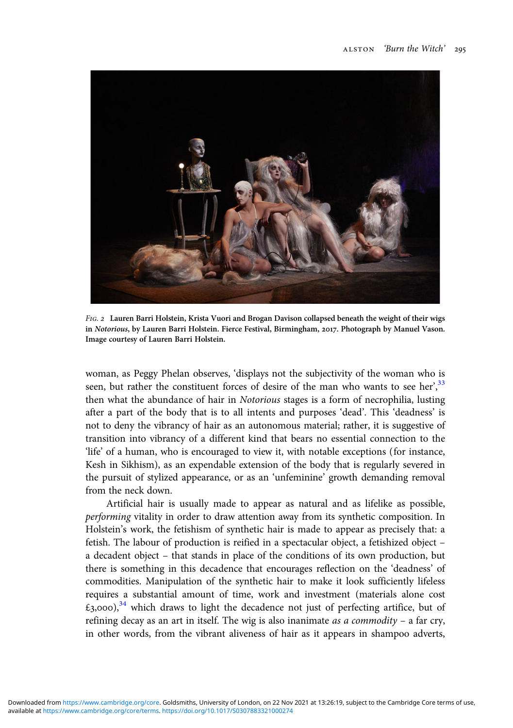<span id="page-10-0"></span>

FIG. 2 Lauren Barri Holstein, Krista Vuori and Brogan Davison collapsed beneath the weight of their wigs in Notorious, by Lauren Barri Holstein. Fierce Festival, Birmingham, 2017. Photograph by Manuel Vason. Image courtesy of Lauren Barri Holstein.

woman, as Peggy Phelan observes, 'displays not the subjectivity of the woman who is seen, but rather the constituent forces of desire of the man who wants to see her,  $33$ then what the abundance of hair in Notorious stages is a form of necrophilia, lusting after a part of the body that is to all intents and purposes 'dead'. This 'deadness' is not to deny the vibrancy of hair as an autonomous material; rather, it is suggestive of transition into vibrancy of a different kind that bears no essential connection to the 'life' of a human, who is encouraged to view it, with notable exceptions (for instance, Kesh in Sikhism), as an expendable extension of the body that is regularly severed in the pursuit of stylized appearance, or as an 'unfeminine' growth demanding removal from the neck down.

Artificial hair is usually made to appear as natural and as lifelike as possible, performing vitality in order to draw attention away from its synthetic composition. In Holstein's work, the fetishism of synthetic hair is made to appear as precisely that: a fetish. The labour of production is reified in a spectacular object, a fetishized object – a decadent object – that stands in place of the conditions of its own production, but there is something in this decadence that encourages reflection on the 'deadness' of commodities. Manipulation of the synthetic hair to make it look sufficiently lifeless requires a substantial amount of time, work and investment (materials alone cost  $\text{\textsterling}_3$ ,000),<sup>[34](#page-17-0)</sup> which draws to light the decadence not just of perfecting artifice, but of refining decay as an art in itself. The wig is also inanimate *as a commodity* – a far cry, in other words, from the vibrant aliveness of hair as it appears in shampoo adverts,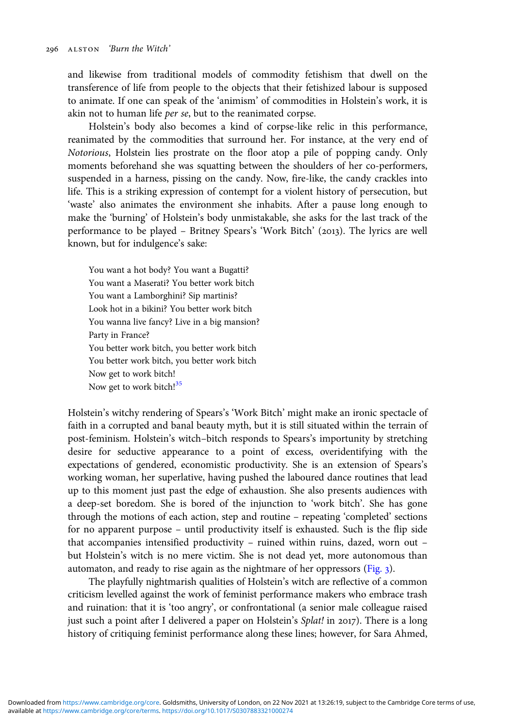and likewise from traditional models of commodity fetishism that dwell on the transference of life from people to the objects that their fetishized labour is supposed to animate. If one can speak of the 'animism' of commodities in Holstein's work, it is akin not to human life per se, but to the reanimated corpse.

Holstein's body also becomes a kind of corpse-like relic in this performance, reanimated by the commodities that surround her. For instance, at the very end of Notorious, Holstein lies prostrate on the floor atop a pile of popping candy. Only moments beforehand she was squatting between the shoulders of her co-performers, suspended in a harness, pissing on the candy. Now, fire-like, the candy crackles into life. This is a striking expression of contempt for a violent history of persecution, but 'waste' also animates the environment she inhabits. After a pause long enough to make the 'burning' of Holstein's body unmistakable, she asks for the last track of the performance to be played - Britney Spears's 'Work Bitch' (2013). The lyrics are well known, but for indulgence's sake:

You want a hot body? You want a Bugatti? You want a Maserati? You better work bitch You want a Lamborghini? Sip martinis? Look hot in a bikini? You better work bitch You wanna live fancy? Live in a big mansion? Party in France? You better work bitch, you better work bitch You better work bitch, you better work bitch Now get to work bitch! Now get to work bitch!<sup>[35](#page-17-0)</sup>

Holstein's witchy rendering of Spears's 'Work Bitch' might make an ironic spectacle of faith in a corrupted and banal beauty myth, but it is still situated within the terrain of post-feminism. Holstein's witch–bitch responds to Spears's importunity by stretching desire for seductive appearance to a point of excess, overidentifying with the expectations of gendered, economistic productivity. She is an extension of Spears's working woman, her superlative, having pushed the laboured dance routines that lead up to this moment just past the edge of exhaustion. She also presents audiences with a deep-set boredom. She is bored of the injunction to 'work bitch'. She has gone through the motions of each action, step and routine – repeating 'completed' sections for no apparent purpose – until productivity itself is exhausted. Such is the flip side that accompanies intensified productivity – ruined within ruins, dazed, worn out – but Holstein's witch is no mere victim. She is not dead yet, more autonomous than automaton, and ready to rise again as the nightmare of her oppressors [\(Fig.](#page-12-0) ).

The playfully nightmarish qualities of Holstein's witch are reflective of a common criticism levelled against the work of feminist performance makers who embrace trash and ruination: that it is 'too angry', or confrontational (a senior male colleague raised just such a point after I delivered a paper on Holstein's Splat! in 2017). There is a long history of critiquing feminist performance along these lines; however, for Sara Ahmed,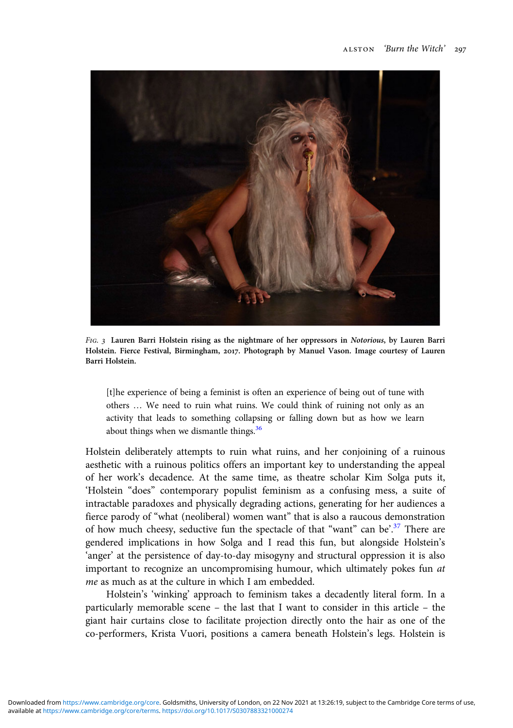<span id="page-12-0"></span>

FIG. 3 Lauren Barri Holstein rising as the nightmare of her oppressors in Notorious, by Lauren Barri Holstein. Fierce Festival, Birmingham, 2017. Photograph by Manuel Vason. Image courtesy of Lauren Barri Holstein.

[t]he experience of being a feminist is often an experience of being out of tune with others … We need to ruin what ruins. We could think of ruining not only as an activity that leads to something collapsing or falling down but as how we learn about things when we dismantle things.<sup>[36](#page-17-0)</sup>

Holstein deliberately attempts to ruin what ruins, and her conjoining of a ruinous aesthetic with a ruinous politics offers an important key to understanding the appeal of her work's decadence. At the same time, as theatre scholar Kim Solga puts it, 'Holstein "does" contemporary populist feminism as a confusing mess, a suite of intractable paradoxes and physically degrading actions, generating for her audiences a fierce parody of "what (neoliberal) women want" that is also a raucous demonstration of how much cheesy, seductive fun the spectacle of that "want" can be'.<sup>[37](#page-17-0)</sup> There are gendered implications in how Solga and I read this fun, but alongside Holstein's 'anger' at the persistence of day-to-day misogyny and structural oppression it is also important to recognize an uncompromising humour, which ultimately pokes fun at me as much as at the culture in which I am embedded.

Holstein's 'winking' approach to feminism takes a decadently literal form. In a particularly memorable scene – the last that I want to consider in this article – the giant hair curtains close to facilitate projection directly onto the hair as one of the co-performers, Krista Vuori, positions a camera beneath Holstein's legs. Holstein is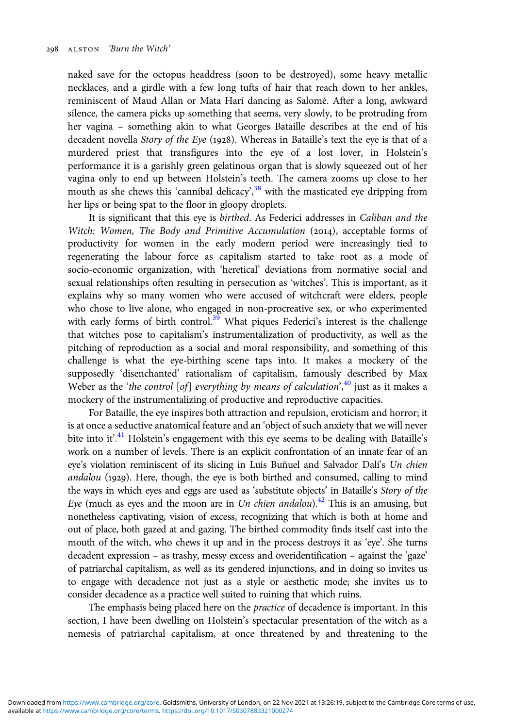naked save for the octopus headdress (soon to be destroyed), some heavy metallic necklaces, and a girdle with a few long tufts of hair that reach down to her ankles, reminiscent of Maud Allan or Mata Hari dancing as Salomé. After a long, awkward silence, the camera picks up something that seems, very slowly, to be protruding from her vagina – something akin to what Georges Bataille describes at the end of his decadent novella Story of the Eye (1928). Whereas in Bataille's text the eye is that of a murdered priest that transfigures into the eye of a lost lover, in Holstein's performance it is a garishly green gelatinous organ that is slowly squeezed out of her vagina only to end up between Holstein's teeth. The camera zooms up close to her mouth as she chews this 'cannibal delicacy',<sup>[38](#page-17-0)</sup> with the masticated eye dripping from her lips or being spat to the floor in gloopy droplets.

It is significant that this eye is birthed. As Federici addresses in Caliban and the Witch: Women, The Body and Primitive Accumulation (2014), acceptable forms of productivity for women in the early modern period were increasingly tied to regenerating the labour force as capitalism started to take root as a mode of socio-economic organization, with 'heretical' deviations from normative social and sexual relationships often resulting in persecution as 'witches'. This is important, as it explains why so many women who were accused of witchcraft were elders, people who chose to live alone, who engaged in non-procreative sex, or who experimented with early forms of birth control.<sup>[39](#page-17-0)</sup> What piques Federici's interest is the challenge that witches pose to capitalism's instrumentalization of productivity, as well as the pitching of reproduction as a social and moral responsibility, and something of this challenge is what the eye-birthing scene taps into. It makes a mockery of the supposedly 'disenchanted' rationalism of capitalism, famously described by Max Weber as the 'the control [of] everything by means of calculation', $40$  just as it makes a mockery of the instrumentalizing of productive and reproductive capacities.

For Bataille, the eye inspires both attraction and repulsion, eroticism and horror; it is at once a seductive anatomical feature and an 'object of such anxiety that we will never bite into it'.<sup>[41](#page-17-0)</sup> Holstein's engagement with this eye seems to be dealing with Bataille's work on a number of levels. There is an explicit confrontation of an innate fear of an eye's violation reminiscent of its slicing in Luis Buñuel and Salvador Dalí's Un chien  $and about (1929)$ . Here, though, the eye is both birthed and consumed, calling to mind the ways in which eyes and eggs are used as 'substitute objects' in Bataille's Story of the Eye (much as eyes and the moon are in Un chien andalou).<sup>42</sup> This is an amusing, but nonetheless captivating, vision of excess, recognizing that which is both at home and out of place, both gazed at and gazing. The birthed commodity finds itself cast into the mouth of the witch, who chews it up and in the process destroys it as 'eye'. She turns decadent expression – as trashy, messy excess and overidentification – against the 'gaze' of patriarchal capitalism, as well as its gendered injunctions, and in doing so invites us to engage with decadence not just as a style or aesthetic mode; she invites us to consider decadence as a practice well suited to ruining that which ruins.

The emphasis being placed here on the *practice* of decadence is important. In this section, I have been dwelling on Holstein's spectacular presentation of the witch as a nemesis of patriarchal capitalism, at once threatened by and threatening to the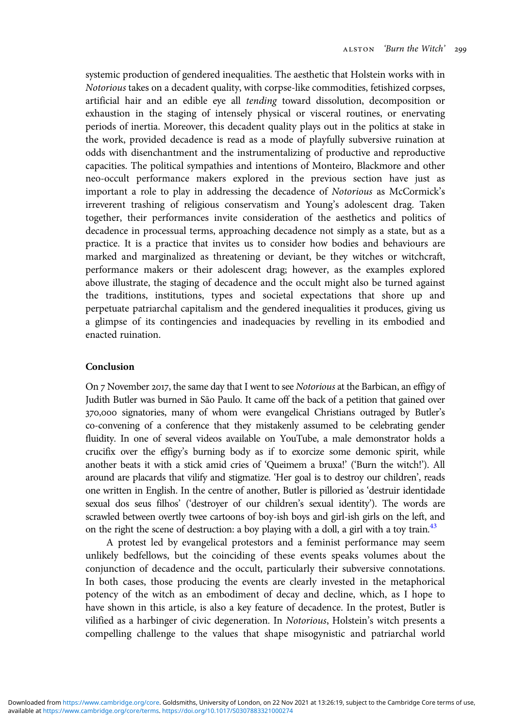systemic production of gendered inequalities. The aesthetic that Holstein works with in Notorious takes on a decadent quality, with corpse-like commodities, fetishized corpses, artificial hair and an edible eye all tending toward dissolution, decomposition or exhaustion in the staging of intensely physical or visceral routines, or enervating periods of inertia. Moreover, this decadent quality plays out in the politics at stake in the work, provided decadence is read as a mode of playfully subversive ruination at odds with disenchantment and the instrumentalizing of productive and reproductive capacities. The political sympathies and intentions of Monteiro, Blackmore and other neo-occult performance makers explored in the previous section have just as important a role to play in addressing the decadence of Notorious as McCormick's irreverent trashing of religious conservatism and Young's adolescent drag. Taken together, their performances invite consideration of the aesthetics and politics of decadence in processual terms, approaching decadence not simply as a state, but as a practice. It is a practice that invites us to consider how bodies and behaviours are marked and marginalized as threatening or deviant, be they witches or witchcraft, performance makers or their adolescent drag; however, as the examples explored above illustrate, the staging of decadence and the occult might also be turned against the traditions, institutions, types and societal expectations that shore up and perpetuate patriarchal capitalism and the gendered inequalities it produces, giving us a glimpse of its contingencies and inadequacies by revelling in its embodied and enacted ruination.

## Conclusion

On 7 November 2017, the same day that I went to see Notorious at the Barbican, an effigy of Judith Butler was burned in São Paulo. It came off the back of a petition that gained over 370,000 signatories, many of whom were evangelical Christians outraged by Butler's co-convening of a conference that they mistakenly assumed to be celebrating gender fluidity. In one of several videos available on YouTube, a male demonstrator holds a crucifix over the effigy's burning body as if to exorcize some demonic spirit, while another beats it with a stick amid cries of 'Queimem a bruxa!' ('Burn the witch!'). All around are placards that vilify and stigmatize. 'Her goal is to destroy our children', reads one written in English. In the centre of another, Butler is pilloried as 'destruir identidade sexual dos seus filhos' ('destroyer of our children's sexual identity'). The words are scrawled between overtly twee cartoons of boy-ish boys and girl-ish girls on the left, and on the right the scene of destruction: a boy playing with a doll, a girl with a toy train.<sup>43</sup>

A protest led by evangelical protestors and a feminist performance may seem unlikely bedfellows, but the coinciding of these events speaks volumes about the conjunction of decadence and the occult, particularly their subversive connotations. In both cases, those producing the events are clearly invested in the metaphorical potency of the witch as an embodiment of decay and decline, which, as I hope to have shown in this article, is also a key feature of decadence. In the protest, Butler is vilified as a harbinger of civic degeneration. In Notorious, Holstein's witch presents a compelling challenge to the values that shape misogynistic and patriarchal world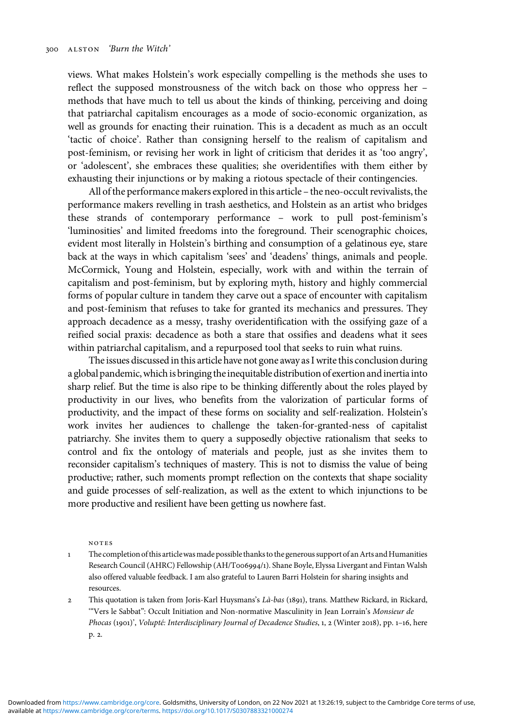<span id="page-15-0"></span>views. What makes Holstein's work especially compelling is the methods she uses to reflect the supposed monstrousness of the witch back on those who oppress her – methods that have much to tell us about the kinds of thinking, perceiving and doing that patriarchal capitalism encourages as a mode of socio-economic organization, as well as grounds for enacting their ruination. This is a decadent as much as an occult 'tactic of choice'. Rather than consigning herself to the realism of capitalism and post-feminism, or revising her work in light of criticism that derides it as 'too angry', or 'adolescent', she embraces these qualities; she overidentifies with them either by exhausting their injunctions or by making a riotous spectacle of their contingencies.

All of the performance makers explored in this article – the neo-occult revivalists, the performance makers revelling in trash aesthetics, and Holstein as an artist who bridges these strands of contemporary performance – work to pull post-feminism's 'luminosities' and limited freedoms into the foreground. Their scenographic choices, evident most literally in Holstein's birthing and consumption of a gelatinous eye, stare back at the ways in which capitalism 'sees' and 'deadens' things, animals and people. McCormick, Young and Holstein, especially, work with and within the terrain of capitalism and post-feminism, but by exploring myth, history and highly commercial forms of popular culture in tandem they carve out a space of encounter with capitalism and post-feminism that refuses to take for granted its mechanics and pressures. They approach decadence as a messy, trashy overidentification with the ossifying gaze of a reified social praxis: decadence as both a stare that ossifies and deadens what it sees within patriarchal capitalism, and a repurposed tool that seeks to ruin what ruins.

The issues discussed in this article have not gone away as I write this conclusion during a global pandemic, which is bringing the inequitable distribution of exertion and inertia into sharp relief. But the time is also ripe to be thinking differently about the roles played by productivity in our lives, who benefits from the valorization of particular forms of productivity, and the impact of these forms on sociality and self-realization. Holstein's work invites her audiences to challenge the taken-for-granted-ness of capitalist patriarchy. She invites them to query a supposedly objective rationalism that seeks to control and fix the ontology of materials and people, just as she invites them to reconsider capitalism's techniques of mastery. This is not to dismiss the value of being productive; rather, such moments prompt reflection on the contexts that shape sociality and guide processes of self-realization, as well as the extent to which injunctions to be more productive and resilient have been getting us nowhere fast.

#### notes

- The completion of this articlewasmade possible thanks to the generous support of anArts andHumanities Research Council (AHRC) Fellowship (AH/T006994/1). Shane Boyle, Elyssa Livergant and Fintan Walsh also offered valuable feedback. I am also grateful to Lauren Barri Holstein for sharing insights and resources.
- 2 This quotation is taken from Joris-Karl Huysmans's Là-bas (1891), trans. Matthew Rickard, in Rickard, '"Vers le Sabbat": Occult Initiation and Non-normative Masculinity in Jean Lorrain's Monsieur de Phocas (1901)', Volupté: Interdisciplinary Journal of Decadence Studies, 1, 2 (Winter 2018), pp. 1-16, here p. 2.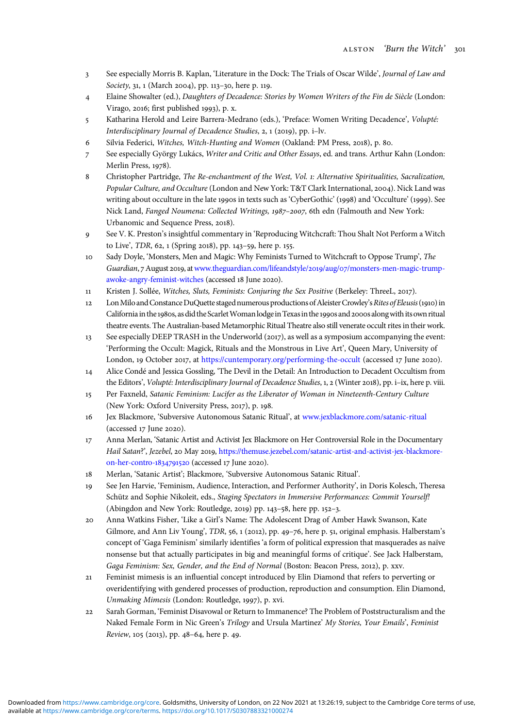- <span id="page-16-0"></span>See especially Morris B. Kaplan, 'Literature in the Dock: The Trials of Oscar Wilde', Journal of Law and Society, 31, 1 (March 2004), pp. 113-30, here p. 119.
- Elaine Showalter (ed.), Daughters of Decadence: Stories by Women Writers of the Fin de Siècle (London: Virago, 2016; first published 1993), p. x.
- Katharina Herold and Leire Barrera-Medrano (eds.), 'Preface: Women Writing Decadence', Volupté: Interdisciplinary Journal of Decadence Studies, 2, 1 (2019), pp. i–lv.
- 6 Silvia Federici, Witches, Witch-Hunting and Women (Oakland: PM Press, 2018), p. 80.
- See especially György Lukács, Writer and Critic and Other Essays, ed. and trans. Arthur Kahn (London: Merlin Press, 1978).
- 8 Christopher Partridge, The Re-enchantment of the West, Vol. 1: Alternative Spiritualities, Sacralization, Popular Culture, and Occulture (London and New York: T&T Clark International, 2004). Nick Land was writing about occulture in the late 1990s in texts such as 'CyberGothic' (1998) and 'Occulture' (1999). See Nick Land, Fanged Noumena: Collected Writings, 1987-2007, 6th edn (Falmouth and New York: Urbanomic and Sequence Press, 2018).
- See V. K. Preston's insightful commentary in 'Reproducing Witchcraft: Thou Shalt Not Perform a Witch to Live', TDR, 62, 1 (Spring 2018), pp. 143-59, here p. 155.
- 10 Sady Doyle, 'Monsters, Men and Magic: Why Feminists Turned to Witchcraft to Oppose Trump', The Guardian, 7 August 2019, at [www.theguardian.com/lifeandstyle/](https://www.theguardian.com/lifeandstyle/2019/aug/07/monsters-men-magic-trump-awoke-angry-feminist-witches)2019/aug/07/monsters-men-magic-trump[awoke-angry-feminist-witches](https://www.theguardian.com/lifeandstyle/2019/aug/07/monsters-men-magic-trump-awoke-angry-feminist-witches) (accessed 18 June 2020).
- 11 Kristen J. Sollée, Witches, Sluts, Feminists: Conjuring the Sex Positive (Berkeley: ThreeL, 2017).
- 12 Lon Milo and Constance DuQuette staged numerous productions of Aleister Crowley's Rites of Eleusis (1910) in California in the 1980s, as did the Scarlet Woman lodge in Texas in the 1990s and 2000s along with its own ritual theatre events. The Australian-based Metamorphic Ritual Theatre also still venerate occult rites in their work.
- $13$  See especially DEEP TRASH in the Underworld (2017), as well as a symposium accompanying the event: 'Performing the Occult: Magick, Rituals and the Monstrous in Live Art', Queen Mary, University of London, 19 October 2017, at <https://cuntemporary.org/performing-the-occult> (accessed 17 June 2020).
- Alice Condé and Jessica Gossling, 'The Devil in the Detail: An Introduction to Decadent Occultism from the Editors', Volupté: Interdisciplinary Journal of Decadence Studies, 1, 2 (Winter 2018), pp. i–ix, here p. viii.
- Per Faxneld, Satanic Feminism: Lucifer as the Liberator of Woman in Nineteenth-Century Culture (New York: Oxford University Press, 2017), p. 198.
- Jex Blackmore, 'Subversive Autonomous Satanic Ritual', at [www.jexblackmore.com/satanic-ritual](https://www.jexblackmore.com/satanic-ritual)  $(accessed 17$  June 2020).
- Anna Merlan, 'Satanic Artist and Activist Jex Blackmore on Her Controversial Role in the Documentary Hail Satan?', Jezebel, 20 May 2019, [https://themuse.jezebel.com/satanic-artist-and-activist-jex-blackmore](https://themuse.jezebel.com/satanic-artist-and-activist-jex-blackmore-on-her-contro-1834791520)[on-her-contro-](https://themuse.jezebel.com/satanic-artist-and-activist-jex-blackmore-on-her-contro-1834791520)1834791520 (accessed 17 June 2020).
- Merlan, 'Satanic Artist'; Blackmore, 'Subversive Autonomous Satanic Ritual'.
- See Jen Harvie, 'Feminism, Audience, Interaction, and Performer Authority', in Doris Kolesch, Theresa Schütz and Sophie Nikoleit, eds., Staging Spectators in Immersive Performances: Commit Yourself! (Abingdon and New York: Routledge, 2019) pp.  $143-58$ , here pp.  $152-3$ .
- Anna Watkins Fisher, 'Like a Girl's Name: The Adolescent Drag of Amber Hawk Swanson, Kate Gilmore, and Ann Liv Young', TDR, 56, 1 (2012), pp. 49-76, here p. 51, original emphasis. Halberstam's concept of 'Gaga Feminism' similarly identifies 'a form of political expression that masquerades as naïve nonsense but that actually participates in big and meaningful forms of critique'. See Jack Halberstam, Gaga Feminism: Sex, Gender, and the End of Normal (Boston: Beacon Press, 2012), p. xxv.
- Feminist mimesis is an influential concept introduced by Elin Diamond that refers to perverting or overidentifying with gendered processes of production, reproduction and consumption. Elin Diamond, Unmaking Mimesis (London: Routledge, 1997), p. xvi.
- Sarah Gorman, 'Feminist Disavowal or Return to Immanence? The Problem of Poststructuralism and the Naked Female Form in Nic Green's Trilogy and Ursula Martinez' My Stories, Your Emails', Feminist Review, 105 (2013), pp. 48-64, here p. 49.